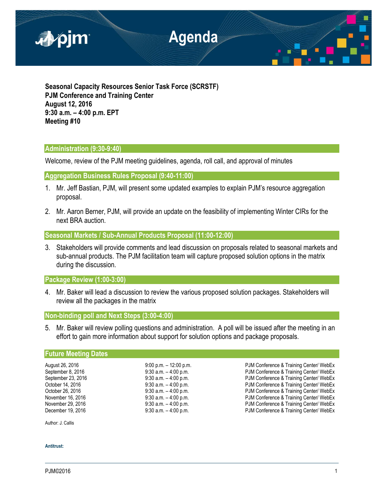

**Seasonal Capacity Resources Senior Task Force (SCRSTF) PJM Conference and Training Center August 12, 2016 9:30 a.m. – 4:00 p.m. EPT Meeting #10**

## **Administration (9:30-9:40)**

Welcome, review of the PJM meeting guidelines, agenda, roll call, and approval of minutes

**Aggregation Business Rules Proposal (9:40-11:00)**

- 1. Mr. Jeff Bastian, PJM, will present some updated examples to explain PJM's resource aggregation proposal.
- 2. Mr. Aaron Berner, PJM, will provide an update on the feasibility of implementing Winter CIRs for the next BRA auction.

**Seasonal Markets / Sub-Annual Products Proposal (11:00-12:00)**

3. Stakeholders will provide comments and lead discussion on proposals related to seasonal markets and sub-annual products. The PJM facilitation team will capture proposed solution options in the matrix during the discussion.

**Package Review (1:00-3:00)**

4. Mr. Baker will lead a discussion to review the various proposed solution packages. Stakeholders will review all the packages in the matrix

**Non-binding poll and Next Steps (3:00-4:00)**

5. Mr. Baker will review polling questions and administration. A poll will be issued after the meeting in an effort to gain more information about support for solution options and package proposals.

## **Future Meeting Dates**

August 26, 2016 **19:00 p.m. – 12:00 p.m.** – 12:00 p.m. PJM Conference & Training Center/ WebEx September 8, 2016 **9:30 a.m.** – 4:00 p.m. PJM Conference & Training Center/ WebEx September 23, 2016 **9:30 a.m.** – 4:00 p.m. PJM Conference & Training Center/ WebEx October 14, 2016 **9:30 a.m.** – 4:00 p.m. PJM Conference & Training Center/ WebEx October 26, 2016 **9:30 a.m.** – 4:00 p.m. **PJM Conference & Training Center/ WebEx** November 16, 2016 **19:30 a.m.** – 4:00 p.m. **PJM Conference & Training Center/ WebEx**<br>November 29, 2016 19:30 a.m. – 4:00 p.m. PJM Conference & Training Center/ WebEx November 29, 2016 **9:30 a.m.** – 4:00 p.m. PJM Conference & Training Center/ WebEx<br>December 19, 2016 **9:30 a.m.** – 4:00 p.m. PJM Conference & Training Center/ WebEx PJM Conference & Training Center/ WebEx

Author: J. Callis

**Antitrust:**